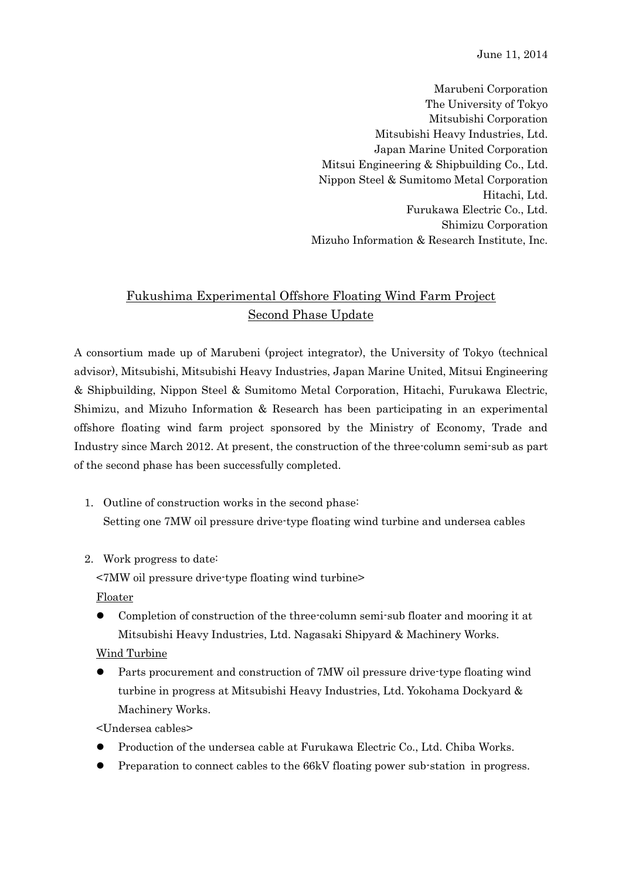June 11, 2014

Marubeni Corporation The University of Tokyo Mitsubishi Corporation Mitsubishi Heavy Industries, Ltd. Japan Marine United Corporation Mitsui Engineering & Shipbuilding Co., Ltd. Nippon Steel & Sumitomo Metal Corporation Hitachi, Ltd. Furukawa Electric Co., Ltd. Shimizu Corporation Mizuho Information & Research Institute, Inc.

## Fukushima Experimental Offshore Floating Wind Farm Project Second Phase Update

A consortium made up of Marubeni (project integrator), the University of Tokyo (technical advisor), Mitsubishi, Mitsubishi Heavy Industries, Japan Marine United, Mitsui Engineering & Shipbuilding, Nippon Steel & Sumitomo Metal Corporation, Hitachi, Furukawa Electric, Shimizu, and Mizuho Information & Research has been participating in an experimental offshore floating wind farm project sponsored by the Ministry of Economy, Trade and Industry since March 2012. At present, the construction of the three-column semi-sub as part of the second phase has been successfully completed.

- 1. Outline of construction works in the second phase: Setting one 7MW oil pressure drive-type floating wind turbine and undersea cables
- 2. Work progress to date:

<7MW oil pressure drive-type floating wind turbine>

Floater

 Completion of construction of the three-column semi-sub floater and mooring it at Mitsubishi Heavy Industries, Ltd. Nagasaki Shipyard & Machinery Works.

## Wind Turbine

- Parts procurement and construction of 7MW oil pressure drive-type floating wind turbine in progress at Mitsubishi Heavy Industries, Ltd. Yokohama Dockyard & Machinery Works.
- <Undersea cables>
- Production of the undersea cable at Furukawa Electric Co., Ltd. Chiba Works.
- Preparation to connect cables to the 66kV floating power sub-station in progress.